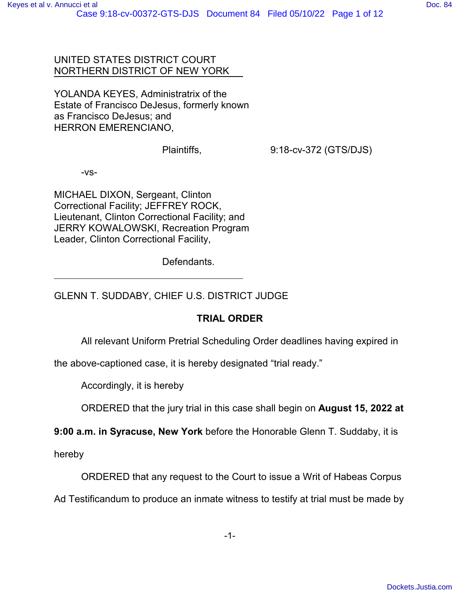#### UNITED STATES DISTRICT COURT NORTHERN DISTRICT OF NEW YORK

YOLANDA KEYES, Administratrix of the Estate of Francisco DeJesus, formerly known as Francisco DeJesus; and HERRON EMERENCIANO,

Plaintiffs, 9:18-cv-372 (GTS/DJS)

-vs-

MICHAEL DIXON, Sergeant, Clinton Correctional Facility; JEFFREY ROCK, Lieutenant, Clinton Correctional Facility; and JERRY KOWALOWSKI, Recreation Program Leader, Clinton Correctional Facility,

Defendants.

GLENN T. SUDDABY, CHIEF U.S. DISTRICT JUDGE

### **TRIAL ORDER**

All relevant Uniform Pretrial Scheduling Order deadlines having expired in

the above-captioned case, it is hereby designated "trial ready."

Accordingly, it is hereby

ORDERED that the jury trial in this case shall begin on **August 15, 2022 at**

**9:00 a.m. in Syracuse, New York** before the Honorable Glenn T. Suddaby, it is

hereby

ORDERED that any request to the Court to issue a Writ of Habeas Corpus

Ad Testificandum to produce an inmate witness to testify at trial must be made by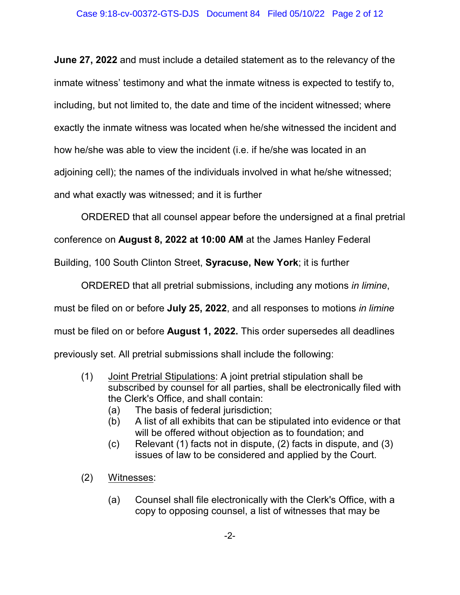**June 27, 2022** and must include a detailed statement as to the relevancy of the inmate witness' testimony and what the inmate witness is expected to testify to, including, but not limited to, the date and time of the incident witnessed; where exactly the inmate witness was located when he/she witnessed the incident and how he/she was able to view the incident (i.e. if he/she was located in an adjoining cell); the names of the individuals involved in what he/she witnessed; and what exactly was witnessed; and it is further

ORDERED that all counsel appear before the undersigned at a final pretrial

conference on **August 8, 2022 at 10:00 AM** at the James Hanley Federal

Building, 100 South Clinton Street, **Syracuse, New York**; it is further

ORDERED that all pretrial submissions, including any motions *in limine*, must be filed on or before **July 25, 2022**, and all responses to motions *in limine* must be filed on or before **August 1, 2022.** This order supersedes all deadlines previously set. All pretrial submissions shall include the following:

- (1) Joint Pretrial Stipulations: A joint pretrial stipulation shall be subscribed by counsel for all parties, shall be electronically filed with the Clerk's Office, and shall contain:
	- (a) The basis of federal jurisdiction;
	- (b) A list of all exhibits that can be stipulated into evidence or that will be offered without objection as to foundation; and
	- (c) Relevant (1) facts not in dispute, (2) facts in dispute, and (3) issues of law to be considered and applied by the Court.
- (2) Witnesses:
	- (a) Counsel shall file electronically with the Clerk's Office, with a copy to opposing counsel, a list of witnesses that may be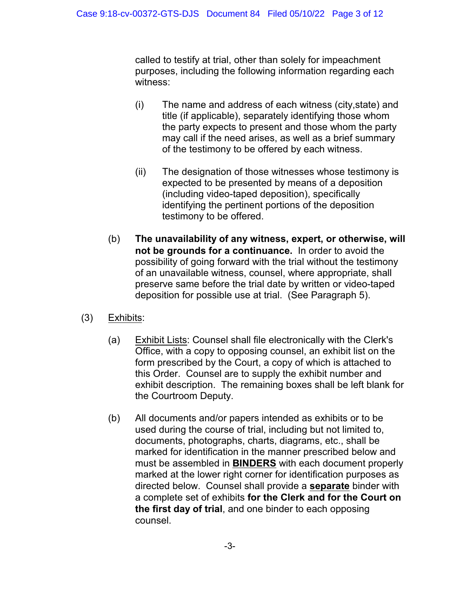called to testify at trial, other than solely for impeachment purposes, including the following information regarding each witness:

- (i) The name and address of each witness (city,state) and title (if applicable), separately identifying those whom the party expects to present and those whom the party may call if the need arises, as well as a brief summary of the testimony to be offered by each witness.
- (ii) The designation of those witnesses whose testimony is expected to be presented by means of a deposition (including video-taped deposition), specifically identifying the pertinent portions of the deposition testimony to be offered.
- (b) **The unavailability of any witness, expert, or otherwise, will not be grounds for a continuance.** In order to avoid the possibility of going forward with the trial without the testimony of an unavailable witness, counsel, where appropriate, shall preserve same before the trial date by written or video-taped deposition for possible use at trial. (See Paragraph 5).
- (3) Exhibits:
	- (a) Exhibit Lists: Counsel shall file electronically with the Clerk's Office, with a copy to opposing counsel, an exhibit list on the form prescribed by the Court, a copy of which is attached to this Order. Counsel are to supply the exhibit number and exhibit description. The remaining boxes shall be left blank for the Courtroom Deputy.
	- (b) All documents and/or papers intended as exhibits or to be used during the course of trial, including but not limited to, documents, photographs, charts, diagrams, etc., shall be marked for identification in the manner prescribed below and must be assembled in **BINDERS** with each document properly marked at the lower right corner for identification purposes as directed below. Counsel shall provide a **separate** binder with a complete set of exhibits **for the Clerk and for the Court on the first day of trial**, and one binder to each opposing counsel.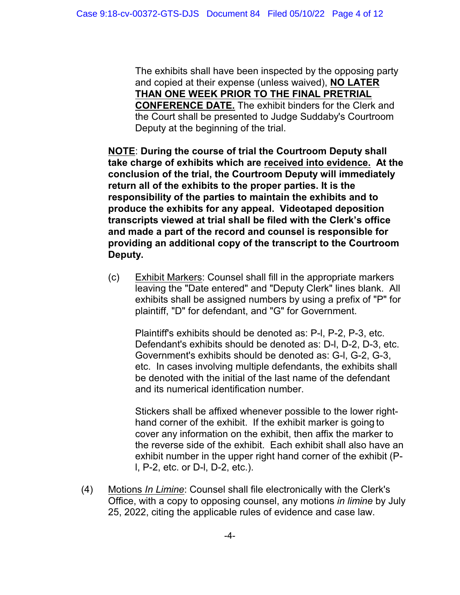The exhibits shall have been inspected by the opposing party and copied at their expense (unless waived), **NO LATER THAN ONE WEEK PRIOR TO THE FINAL PRETRIAL CONFERENCE DATE.** The exhibit binders for the Clerk and the Court shall be presented to Judge Suddaby's Courtroom Deputy at the beginning of the trial.

**NOTE**: **During the course of trial the Courtroom Deputy shall take charge of exhibits which are received into evidence. At the conclusion of the trial, the Courtroom Deputy will immediately return all of the exhibits to the proper parties. It is the responsibility of the parties to maintain the exhibits and to produce the exhibits for any appeal. Videotaped deposition transcripts viewed at trial shall be filed with the Clerk's office and made a part of the record and counsel is responsible for providing an additional copy of the transcript to the Courtroom Deputy.**

(c) Exhibit Markers: Counsel shall fill in the appropriate markers leaving the "Date entered" and "Deputy Clerk" lines blank. All exhibits shall be assigned numbers by using a prefix of "P" for plaintiff, "D" for defendant, and "G" for Government.

Plaintiff's exhibits should be denoted as: P-l, P-2, P-3, etc. Defendant's exhibits should be denoted as: D-l, D-2, D-3, etc. Government's exhibits should be denoted as: G-l, G-2, G-3, etc. In cases involving multiple defendants, the exhibits shall be denoted with the initial of the last name of the defendant and its numerical identification number.

Stickers shall be affixed whenever possible to the lower righthand corner of the exhibit. If the exhibit marker is going to cover any information on the exhibit, then affix the marker to the reverse side of the exhibit. Each exhibit shall also have an exhibit number in the upper right hand corner of the exhibit (Pl, P-2, etc. or D-l, D-2, etc.).

(4) Motions *In Limine*: Counsel shall file electronically with the Clerk's Office, with a copy to opposing counsel, any motions *in limine* by July 25, 2022, citing the applicable rules of evidence and case law.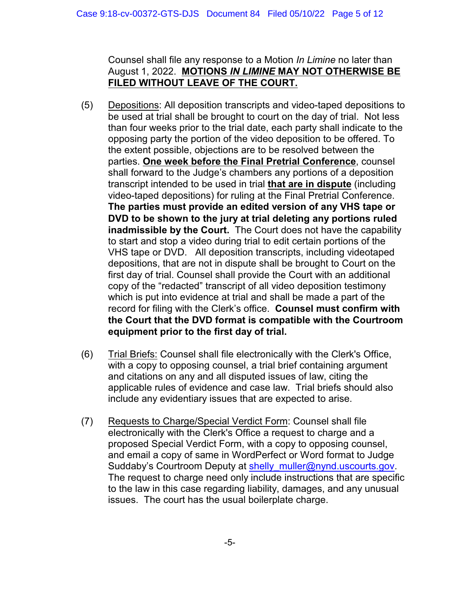Counsel shall file any response to a Motion *In Limine* no later than August 1, 2022. **MOTIONS** *IN LIMINE* **MAY NOT OTHERWISE BE FILED WITHOUT LEAVE OF THE COURT.**

- (5) Depositions: All deposition transcripts and video-taped depositions to be used at trial shall be brought to court on the day of trial. Not less than four weeks prior to the trial date, each party shall indicate to the opposing party the portion of the video deposition to be offered. To the extent possible, objections are to be resolved between the parties. **One week before the Final Pretrial Conference**, counsel shall forward to the Judge's chambers any portions of a deposition transcript intended to be used in trial **that are in dispute** (including video-taped depositions) for ruling at the Final Pretrial Conference. **The parties must provide an edited version of any VHS tape or DVD to be shown to the jury at trial deleting any portions ruled inadmissible by the Court.** The Court does not have the capability to start and stop a video during trial to edit certain portions of the VHS tape or DVD. All deposition transcripts, including videotaped depositions, that are not in dispute shall be brought to Court on the first day of trial. Counsel shall provide the Court with an additional copy of the "redacted" transcript of all video deposition testimony which is put into evidence at trial and shall be made a part of the record for filing with the Clerk's office. **Counsel must confirm with the Court that the DVD format is compatible with the Courtroom equipment prior to the first day of trial.**
- (6) Trial Briefs: Counsel shall file electronically with the Clerk's Office, with a copy to opposing counsel, a trial brief containing argument and citations on any and all disputed issues of law, citing the applicable rules of evidence and case law. Trial briefs should also include any evidentiary issues that are expected to arise.
- (7) Requests to Charge/Special Verdict Form: Counsel shall file electronically with the Clerk's Office a request to charge and a proposed Special Verdict Form, with a copy to opposing counsel, and email a copy of same in WordPerfect or Word format to Judge Suddaby's Courtroom Deputy at shelly muller@nynd.uscourts.gov. The request to charge need only include instructions that are specific to the law in this case regarding liability, damages, and any unusual issues. The court has the usual boilerplate charge.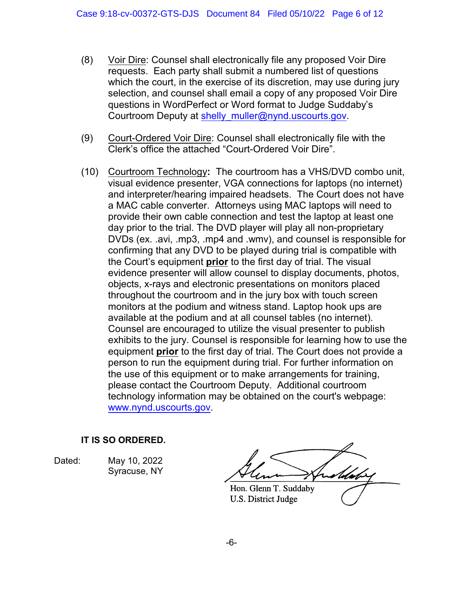- (8) Voir Dire: Counsel shall electronically file any proposed Voir Dire requests. Each party shall submit a numbered list of questions which the court, in the exercise of its discretion, may use during jury selection, and counsel shall email a copy of any proposed Voir Dire questions in WordPerfect or Word format to Judge Suddaby's Courtroom Deputy at shelly\_muller@nynd.uscourts.gov.
- (9) Court-Ordered Voir Dire: Counsel shall electronically file with the Clerk's office the attached "Court-Ordered Voir Dire".
- (10) Courtroom Technology**:** The courtroom has a VHS/DVD combo unit, visual evidence presenter, VGA connections for laptops (no internet) and interpreter/hearing impaired headsets. The Court does not have a MAC cable converter. Attorneys using MAC laptops will need to provide their own cable connection and test the laptop at least one day prior to the trial. The DVD player will play all non-proprietary DVDs (ex. .avi, .mp3, .mp4 and .wmv), and counsel is responsible for confirming that any DVD to be played during trial is compatible with the Court's equipment **prior** to the first day of trial. The visual evidence presenter will allow counsel to display documents, photos, objects, x-rays and electronic presentations on monitors placed throughout the courtroom and in the jury box with touch screen monitors at the podium and witness stand. Laptop hook ups are available at the podium and at all counsel tables (no internet). Counsel are encouraged to utilize the visual presenter to publish exhibits to the jury. Counsel is responsible for learning how to use the equipment **prior** to the first day of trial. The Court does not provide a person to run the equipment during trial. For further information on the use of this equipment or to make arrangements for training, please contact the Courtroom Deputy. Additional courtroom technology information may be obtained on the court's webpage: www.nynd.uscourts.gov.

### **IT IS SO ORDERED.**

Dated: May 10, 2022 Syracuse, NY

Hon. Glenn T. Suddaby U.S. District Judge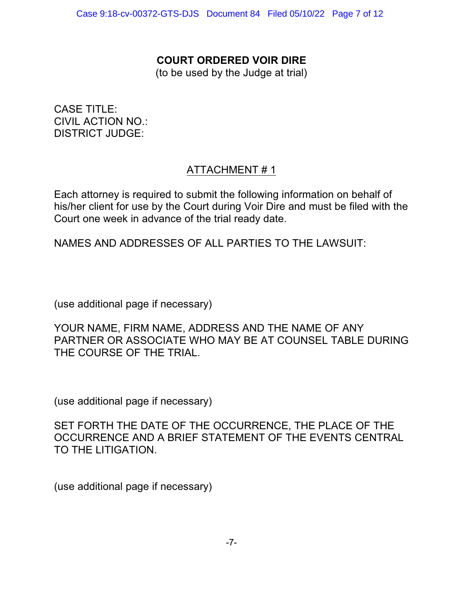## **COURT ORDERED VOIR DIRE**

(to be used by the Judge at trial)

CASE TITLE: CIVIL ACTION NO.: DISTRICT JUDGE:

# ATTACHMENT # 1

Each attorney is required to submit the following information on behalf of his/her client for use by the Court during Voir Dire and must be filed with the Court one week in advance of the trial ready date.

NAMES AND ADDRESSES OF ALL PARTIES TO THE LAWSUIT:

(use additional page if necessary)

YOUR NAME, FIRM NAME, ADDRESS AND THE NAME OF ANY PARTNER OR ASSOCIATE WHO MAY BE AT COUNSEL TABLE DURING THE COURSE OF THE TRIAL.

(use additional page if necessary)

SET FORTH THE DATE OF THE OCCURRENCE, THE PLACE OF THE OCCURRENCE AND A BRIEF STATEMENT OF THE EVENTS CENTRAL TO THE LITIGATION.

(use additional page if necessary)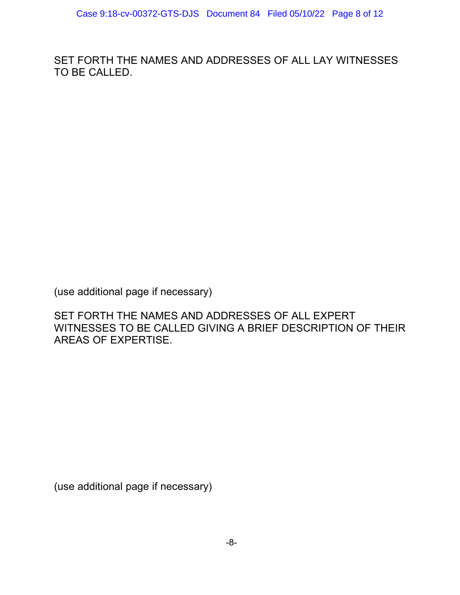SET FORTH THE NAMES AND ADDRESSES OF ALL LAY WITNESSES TO BE CALLED.

(use additional page if necessary)

SET FORTH THE NAMES AND ADDRESSES OF ALL EXPERT WITNESSES TO BE CALLED GIVING A BRIEF DESCRIPTION OF THEIR AREAS OF EXPERTISE.

(use additional page if necessary)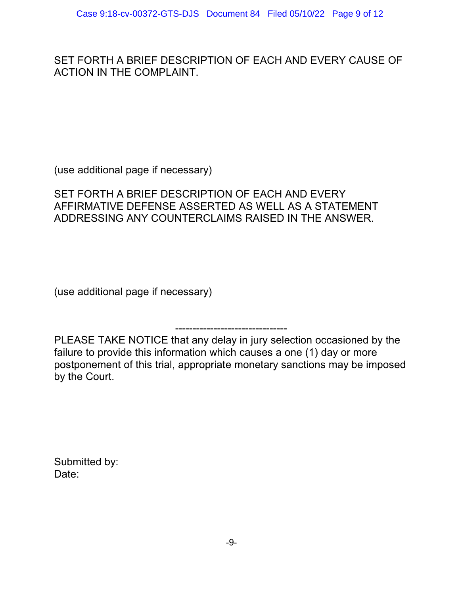SET FORTH A BRIEF DESCRIPTION OF EACH AND EVERY CAUSE OF ACTION IN THE COMPLAINT.

(use additional page if necessary)

SET FORTH A BRIEF DESCRIPTION OF EACH AND EVERY AFFIRMATIVE DEFENSE ASSERTED AS WELL AS A STATEMENT ADDRESSING ANY COUNTERCLAIMS RAISED IN THE ANSWER.

(use additional page if necessary)

-------------------------------- PLEASE TAKE NOTICE that any delay in jury selection occasioned by the failure to provide this information which causes a one (1) day or more postponement of this trial, appropriate monetary sanctions may be imposed by the Court.

Submitted by: Date: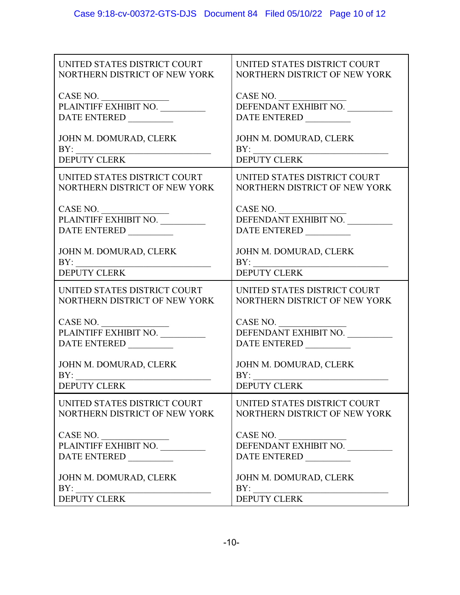| UNITED STATES DISTRICT COURT                               | UNITED STATES DISTRICT COURT                           |
|------------------------------------------------------------|--------------------------------------------------------|
| NORTHERN DISTRICT OF NEW YORK                              | NORTHERN DISTRICT OF NEW YORK                          |
| CASE NO.                                                   | CASE NO.                                               |
| PLAINTIFF EXHIBIT NO.                                      | DEFENDANT EXHIBIT NO.                                  |
| DATE ENTERED                                               | DATE ENTERED                                           |
| JOHN M. DOMURAD, CLERK                                     | JOHN M. DOMURAD, CLERK                                 |
| BY:                                                        | BY:                                                    |
| <b>DEPUTY CLERK</b>                                        | <b>DEPUTY CLERK</b>                                    |
| UNITED STATES DISTRICT COURT                               | UNITED STATES DISTRICT COURT                           |
| NORTHERN DISTRICT OF NEW YORK                              | NORTHERN DISTRICT OF NEW YORK                          |
| CASE NO.<br>PLAINTIFF EXHIBIT NO. ________<br>DATE ENTERED | CASE NO.<br>DEFENDANT EXHIBIT NO.<br>DATE ENTERED      |
| JOHN M. DOMURAD, CLERK                                     | JOHN M. DOMURAD, CLERK                                 |
|                                                            | BY:                                                    |
| <b>DEPUTY CLERK</b>                                        | <b>DEPUTY CLERK</b>                                    |
| UNITED STATES DISTRICT COURT                               | UNITED STATES DISTRICT COURT                           |
| NORTHERN DISTRICT OF NEW YORK                              | NORTHERN DISTRICT OF NEW YORK                          |
|                                                            | $\frac{\text{CASE NO.}}{\text{DEFENDANT EXHIBIT NO.}}$ |
| DATE ENTERED                                               | DATE ENTERED                                           |
| JOHN M. DOMURAD, CLERK                                     | JOHN M. DOMURAD, CLERK                                 |
| BY:                                                        | BY:                                                    |
| <b>DEPUTY CLERK</b>                                        | <b>DEPUTY CLERK</b>                                    |
| UNITED STATES DISTRICT COURT                               | UNITED STATES DISTRICT COURT                           |
| NORTHERN DISTRICT OF NEW YORK                              | NORTHERN DISTRICT OF NEW YORK                          |
| CASE NO.                                                   | CASE NO.                                               |
| PLAINTIFF EXHIBIT NO.                                      | DEFENDANT EXHIBIT NO.                                  |
| DATE ENTERED _________                                     | DATE ENTERED                                           |
| JOHN M. DOMURAD, CLERK                                     | JOHN M. DOMURAD, CLERK                                 |
| BY:                                                        | BY:                                                    |
| <b>DEPUTY CLERK</b>                                        | <b>DEPUTY CLERK</b>                                    |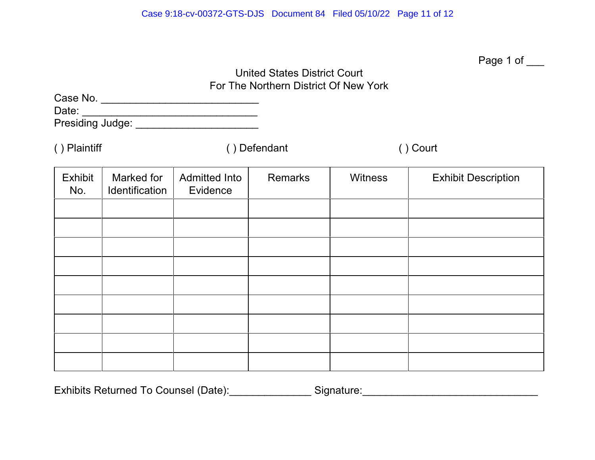|                       |                              |                                              | <b>United States District Court</b><br>For The Northern District Of New York |                | Page 1 of ___              |  |
|-----------------------|------------------------------|----------------------------------------------|------------------------------------------------------------------------------|----------------|----------------------------|--|
|                       |                              | Presiding Judge: ___________________________ |                                                                              |                |                            |  |
| () Plaintiff          |                              | () Defendant                                 |                                                                              | () Court       |                            |  |
| <b>Exhibit</b><br>No. | Marked for<br>Identification | <b>Admitted Into</b><br>Evidence             | <b>Remarks</b>                                                               | <b>Witness</b> | <b>Exhibit Description</b> |  |
|                       |                              |                                              |                                                                              |                |                            |  |
|                       |                              |                                              |                                                                              |                |                            |  |
|                       |                              |                                              |                                                                              |                |                            |  |
|                       |                              |                                              |                                                                              |                |                            |  |
|                       |                              |                                              |                                                                              |                |                            |  |
|                       |                              |                                              |                                                                              |                |                            |  |
|                       |                              |                                              |                                                                              |                |                            |  |
|                       |                              |                                              |                                                                              |                |                            |  |
|                       |                              |                                              |                                                                              |                |                            |  |

Exhibits Returned To Counsel (Date):\_\_\_\_\_\_\_\_\_\_\_\_\_\_\_\_Signature:\_\_\_\_\_\_\_\_\_\_\_\_\_\_\_\_\_\_